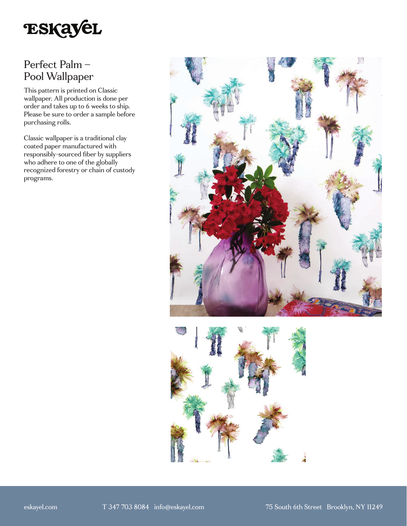

# Perfect Palm – Pool Wallpaper

This pattern is printed on Classic wallpaper. All production is done per order and takes up to 6 weeks to ship. Please be sure to order a sample before purchasing rolls.

Classic wallpaper is a traditional clay coated paper manufactured with responsibly-sourced fiber by suppliers who adhere to one of the globally recognized forestry or chain of custody programs.



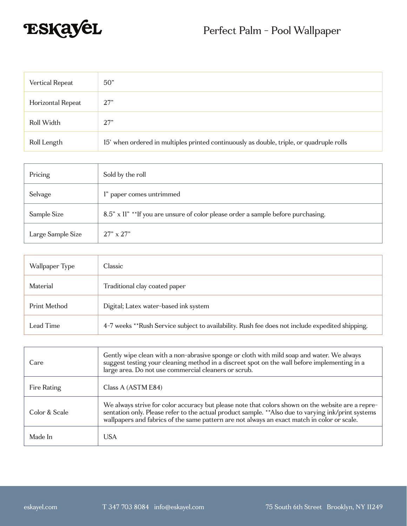

| Vertical Repeat   | 50"                                                                                      |
|-------------------|------------------------------------------------------------------------------------------|
| Horizontal Repeat | 27"                                                                                      |
| Roll Width        | 27"                                                                                      |
| Roll Length       | 15' when ordered in multiples printed continuously as double, triple, or quadruple rolls |

| Pricing           | Sold by the roll                                                                  |
|-------------------|-----------------------------------------------------------------------------------|
| Selvage           | l" paper comes untrimmed                                                          |
| Sample Size       | 8.5" x 11" ** If you are unsure of color please order a sample before purchasing. |
| Large Sample Size | $27" \times 27"$                                                                  |

| Wallpaper Type | Classic                                                                                         |
|----------------|-------------------------------------------------------------------------------------------------|
| Material       | Traditional clay coated paper                                                                   |
| Print Method   | Digital; Latex water-based ink system                                                           |
| Lead Time      | 4-7 weeks **Rush Service subject to availability. Rush fee does not include expedited shipping. |

| Care          | Gently wipe clean with a non-abrasive sponge or cloth with mild soap and water. We always<br>suggest testing your cleaning method in a discreet spot on the wall before implementing in a<br>large area. Do not use commercial cleaners or scrub.                                                       |
|---------------|---------------------------------------------------------------------------------------------------------------------------------------------------------------------------------------------------------------------------------------------------------------------------------------------------------|
| Fire Rating   | Class A (ASTM E84)                                                                                                                                                                                                                                                                                      |
| Color & Scale | We always strive for color accuracy but please note that colors shown on the website are a repre-<br>sentation only. Please refer to the actual product sample. ** Also due to varying ink/print systems<br>wallpapers and fabrics of the same pattern are not always an exact match in color or scale. |
| Made In       | <b>USA</b>                                                                                                                                                                                                                                                                                              |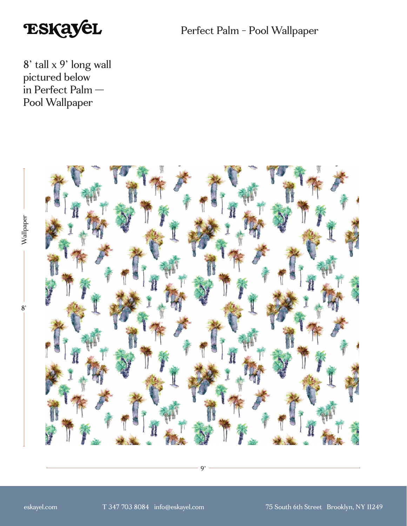

Perfect Palm - Pool Wallpaper

8' tall x 9' long wall pictured below in Perfect Palm — Pool Wallpaper



9'

Wallpaper 8'Wallpaper

 $8'$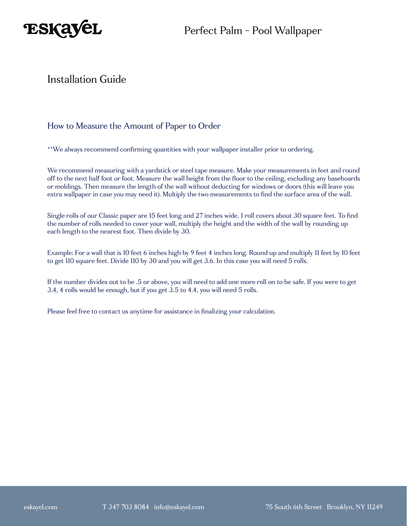

### Installation Guide

### How to Measure the Amount of Paper to Order

\*\*We always recommend confirming quantities with your wallpaper installer prior to ordering.

We recommend measuring with a yardstick or steel tape measure. Make your measurements in feet and round off to the next half foot or foot. Measure the wall height from the floor to the ceiling, excluding any baseboards or moldings. Then measure the length of the wall without deducting for windows or doors (this will leave you extra wallpaper in case you may need it). Multiply the two measurements to find the surface area of the wall.

Single rolls of our Classic paper are 15 feet long and 27 inches wide. 1 roll covers about 30 square feet. To find the number of rolls needed to cover your wall, multiply the height and the width of the wall by rounding up each length to the nearest foot. Then divide by 30.

Example: For a wall that is 10 feet 6 inches high by 9 feet 4 inches long. Round up and multiply 11 feet by 10 feet to get 110 square feet. Divide 110 by 30 and you will get 3.6. In this case you will need 5 rolls.

If the number divides out to be .5 or above, you will need to add one more roll on to be safe. If you were to get 3.4, 4 rolls would be enough, but if you get 3.5 to 4.4, you will need 5 rolls.

Please feel free to contact us anytime for assistance in finalizing your calculation.